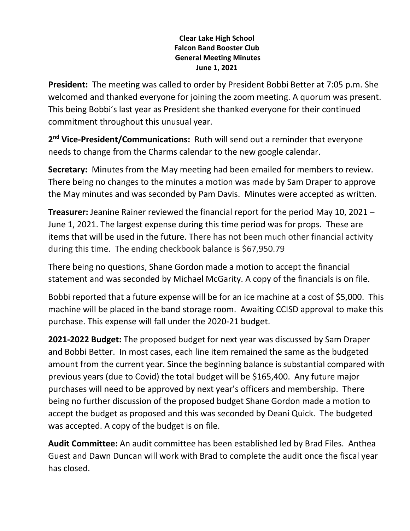## **Clear Lake High School Falcon Band Booster Club General Meeting Minutes June 1, 2021**

**President:** The meeting was called to order by President Bobbi Better at 7:05 p.m. She welcomed and thanked everyone for joining the zoom meeting. A quorum was present. This being Bobbi's last year as President she thanked everyone for their continued commitment throughout this unusual year.

2<sup>nd</sup> Vice-President/Communications: Ruth will send out a reminder that everyone needs to change from the Charms calendar to the new google calendar.

**Secretary:** Minutes from the May meeting had been emailed for members to review. There being no changes to the minutes a motion was made by Sam Draper to approve the May minutes and was seconded by Pam Davis. Minutes were accepted as written.

**Treasurer:** Jeanine Rainer reviewed the financial report for the period May 10, 2021 – June 1, 2021. The largest expense during this time period was for props. These are items that will be used in the future. There has not been much other financial activity during this time. The ending checkbook balance is \$67,950.79

There being no questions, Shane Gordon made a motion to accept the financial statement and was seconded by Michael McGarity. A copy of the financials is on file.

Bobbi reported that a future expense will be for an ice machine at a cost of \$5,000. This machine will be placed in the band storage room. Awaiting CCISD approval to make this purchase. This expense will fall under the 2020-21 budget.

**2021-2022 Budget:** The proposed budget for next year was discussed by Sam Draper and Bobbi Better. In most cases, each line item remained the same as the budgeted amount from the current year. Since the beginning balance is substantial compared with previous years (due to Covid) the total budget will be \$165,400. Any future major purchases will need to be approved by next year's officers and membership. There being no further discussion of the proposed budget Shane Gordon made a motion to accept the budget as proposed and this was seconded by Deani Quick. The budgeted was accepted. A copy of the budget is on file.

**Audit Committee:** An audit committee has been established led by Brad Files. Anthea Guest and Dawn Duncan will work with Brad to complete the audit once the fiscal year has closed.